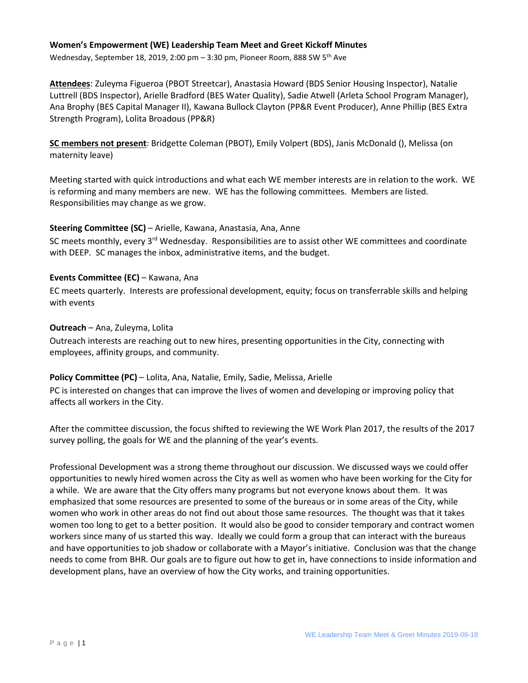## **Women's Empowerment (WE) Leadership Team Meet and Greet Kickoff Minutes**

Wednesday, September 18, 2019, 2:00 pm - 3:30 pm, Pioneer Room, 888 SW 5<sup>th</sup> Ave

**Attendees**: Zuleyma Figueroa (PBOT Streetcar), Anastasia Howard (BDS Senior Housing Inspector), Natalie Luttrell (BDS Inspector), Arielle Bradford (BES Water Quality), Sadie Atwell (Arleta School Program Manager), Ana Brophy (BES Capital Manager II), Kawana Bullock Clayton (PP&R Event Producer), Anne Phillip (BES Extra Strength Program), Lolita Broadous (PP&R)

**SC members not present**: Bridgette Coleman (PBOT), Emily Volpert (BDS), Janis McDonald (), Melissa (on maternity leave)

Meeting started with quick introductions and what each WE member interests are in relation to the work. WE is reforming and many members are new. WE has the following committees. Members are listed. Responsibilities may change as we grow.

## **Steering Committee (SC)** – Arielle, Kawana, Anastasia, Ana, Anne

SC meets monthly, every  $3^{rd}$  Wednesday. Responsibilities are to assist other WE committees and coordinate with DEEP. SC manages the inbox, administrative items, and the budget.

## **Events Committee (EC)** – Kawana, Ana

EC meets quarterly. Interests are professional development, equity; focus on transferrable skills and helping with events

#### **Outreach** – Ana, Zuleyma, Lolita

Outreach interests are reaching out to new hires, presenting opportunities in the City, connecting with employees, affinity groups, and community.

# **Policy Committee (PC)** – Lolita, Ana, Natalie, Emily, Sadie, Melissa, Arielle

PC is interested on changes that can improve the lives of women and developing or improving policy that affects all workers in the City.

After the committee discussion, the focus shifted to reviewing the WE Work Plan 2017, the results of the 2017 survey polling, the goals for WE and the planning of the year's events.

Professional Development was a strong theme throughout our discussion. We discussed ways we could offer opportunities to newly hired women across the City as well as women who have been working for the City for a while. We are aware that the City offers many programs but not everyone knows about them. It was emphasized that some resources are presented to some of the bureaus or in some areas of the City, while women who work in other areas do not find out about those same resources. The thought was that it takes women too long to get to a better position. It would also be good to consider temporary and contract women workers since many of us started this way. Ideally we could form a group that can interact with the bureaus and have opportunities to job shadow or collaborate with a Mayor's initiative. Conclusion was that the change needs to come from BHR. Our goals are to figure out how to get in, have connections to inside information and development plans, have an overview of how the City works, and training opportunities.